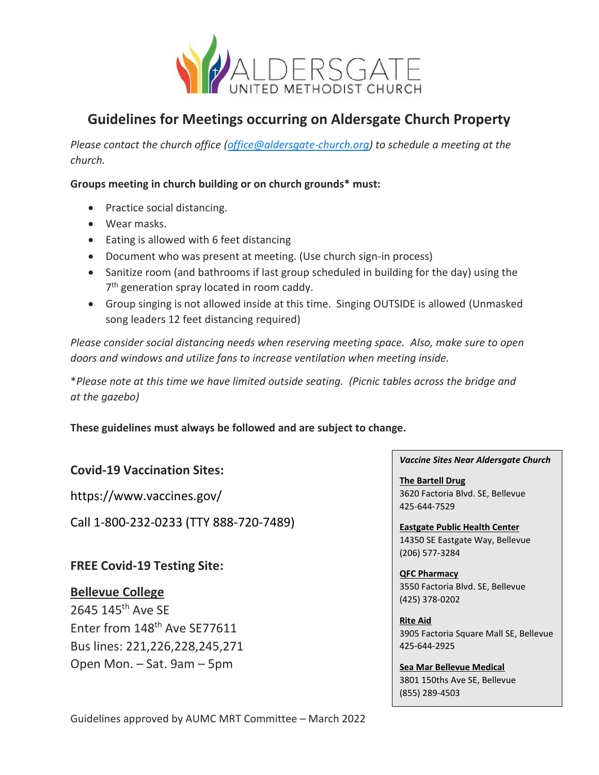

# **Guidelines for Meetings occurring on Aldersgate Church Property**

*Please contact the church office [\(office@aldersgate-church.org\)](mailto:office@aldersgate-church.org) to schedule a meeting at the church.* 

#### **Groups meeting in church building or on church grounds\* must:**

- Practice social distancing.
- Wear masks.
- Eating is allowed with 6 feet distancing
- Document who was present at meeting. (Use church sign-in process)
- Sanitize room (and bathrooms if last group scheduled in building for the day) using the 7<sup>th</sup> generation spray located in room caddy.
- Group singing is not allowed inside at this time. Singing OUTSIDE is allowed (Unmasked song leaders 12 feet distancing required)

*Please consider social distancing needs when reserving meeting space. Also, make sure to open doors and windows and utilize fans to increase ventilation when meeting inside.* 

\**Please note at this time we have limited outside seating. (Picnic tables across the bridge and at the gazebo)*

**These guidelines must always be followed and are subject to change.** 

## **Covid-19 Vaccination Sites:**

https://www.vaccines.gov/

Call 1-800-232-0233 (TTY 888-720-7489)

### **FREE Covid-19 Testing Site:**

### **Bellevue College**

2645 145th Ave SE Enter from 148<sup>th</sup> Ave SE77611 Bus lines: 221,226,228,245,271 Open Mon. – Sat. 9am – 5pm

*Vaccine Sites Near Aldersgate Church*

**The Bartell Drug** 3620 Factoria Blvd. SE, Bellevue 425-644-7529

**Eastgate Public Health Center** 14350 SE Eastgate Way, Bellevue (206) 577-3284

**QFC Pharmacy** 3550 Factoria Blvd. SE, Bellevue (425) 378-0202

**Rite Aid** 3905 Factoria Square Mall SE, Bellevue 425-644-2925

**Sea Mar Bellevue Medical** 3801 150ths Ave SE, Bellevue (855) 289-4503